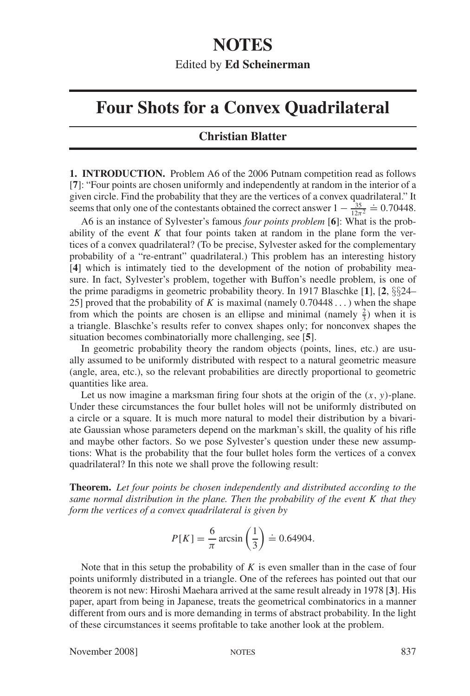## **NOTES** Edited by **Ed Scheinerman**

## **Four Shots for a Convex Quadrilateral**

## **Christian Blatter**

**1. INTRODUCTION.** Problem A6 of the 2006 Putnam competition read as follows [**7**]: "Four points are chosen uniformly and independently at random in the interior of a given circle. Find the probability that they are the vertices of a convex quadrilateral." It seems that only one of the contestants obtained the correct answer  $1 - \frac{35}{12\pi^2}$  $\stackrel{\text{magenta.}}{=} 0.70448.$ 

A6 is an instance of Sylvester's famous *four points problem* [**6**]: What is the probability of the event  $K$  that four points taken at random in the plane form the vertices of a convex quadrilateral? (To be precise, Sylvester asked for the complementary probability of a "re-entrant" quadrilateral.) This problem has an interesting history [**4**] which is intimately tied to the development of the notion of probability measure. In fact, Sylvester's problem, together with Buffon's needle problem, is one of the prime paradigms in geometric probability theory. In 1917 Blaschke [**1**], [**2**, §§24– 25] proved that the probability of *K* is maximal (namely 0.70448 ... ) when the shape from which the points are chosen is an ellipse and minimal (namely  $\frac{2}{3}$ ) when it is a triangle. Blaschke's results refer to convex shapes only; for nonconvex shapes the situation becomes combinatorially more challenging, see [**5**].

In geometric probability theory the random objects (points, lines, etc.) are usually assumed to be uniformly distributed with respect to a natural geometric measure (angle, area, etc.), so the relevant probabilities are directly proportional to geometric quantities like area.

Let us now imagine a marksman firing four shots at the origin of the  $(x, y)$ -plane. Under these circumstances the four bullet holes will not be uniformly distributed on a circle or a square. It is much more natural to model their distribution by a bivariate Gaussian whose parameters depend on the markman's skill, the quality of his rifle and maybe other factors. So we pose Sylvester's question under these new assumptions: What is the probability that the four bullet holes form the vertices of a convex quadrilateral? In this note we shall prove the following result:

**Theorem.** *Let four points be chosen independently and distributed according to the same normal distribution in the plane. Then the probability of the event K that they form the vertices of a convex quadrilateral is given by*

$$
P[K] = \frac{6}{\pi} \arcsin\left(\frac{1}{3}\right) \doteq 0.64904.
$$

Note that in this setup the probability of *K* is even smaller than in the case of four points uniformly distributed in a triangle. One of the referees has pointed out that our theorem is not new: Hiroshi Maehara arrived at the same result already in 1978 [**3**]. His paper, apart from being in Japanese, treats the geometrical combinatorics in a manner different from ours and is more demanding in terms of abstract probability. In the light of these circumstances it seems profitable to take another look at the problem.

November 2008] NOTES 837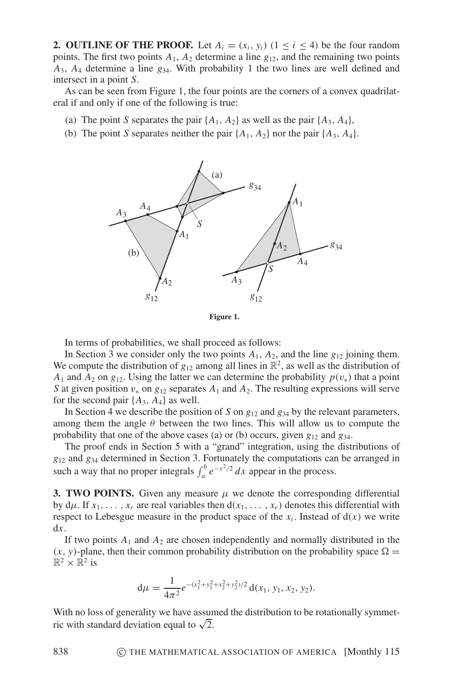**2. OUTLINE OF THE PROOF.** Let  $A_i = (x_i, y_i)$  ( $1 \le i \le 4$ ) be the four random points. The first two points  $A_1$ ,  $A_2$  determine a line  $g_{12}$ , and the remaining two points *A*3, *A*<sup>4</sup> determine a line *g*34. With probability 1 the two lines are well defined and intersect in a point *S*.

As can be seen from Figure 1, the four points are the corners of a convex quadrilateral if and only if one of the following is true:

- (a) The point *S* separates the pair  $\{A_1, A_2\}$  as well as the pair  $\{A_3, A_4\}$ ,
- (b) The point *S* separates neither the pair  $\{A_1, A_2\}$  nor the pair  $\{A_3, A_4\}$ .



**Figure 1.**

In terms of probabilities, we shall proceed as follows:

In Section 3 we consider only the two points  $A_1$ ,  $A_2$ , and the line  $g_{12}$  joining them. We compute the distribution of  $g_{12}$  among all lines in  $\mathbb{R}^2$ , as well as the distribution of *A*<sub>1</sub> and *A*<sub>2</sub> on  $g_{12}$ . Using the latter we can determine the probability  $p(v_*)$  that a point *S* at given position  $v_*$  on  $g_{12}$  separates  $A_1$  and  $A_2$ . The resulting expressions will serve for the second pair  $\{A_3, A_4\}$  as well.

In Section 4 we describe the position of *S* on *g*<sup>12</sup> and *g*<sup>34</sup> by the relevant parameters, among them the angle  $\theta$  between the two lines. This will allow us to compute the probability that one of the above cases (a) or (b) occurs, given  $g_{12}$  and  $g_{34}$ .

The proof ends in Section 5 with a "grand" integration, using the distributions of *g*<sup>12</sup> and *g*<sup>34</sup> determined in Section 3. Fortunately the computations can be arranged in such a way that no proper integrals  $\int_{a}^{b} e^{-x^2/2} dx$  appear in the process.

**3. TWO POINTS.** Given any measure  $\mu$  we denote the corresponding differential by  $d\mu$ . If  $x_1, \ldots, x_r$  are real variables then  $d(x_1, \ldots, x_r)$  denotes this differential with respect to Lebesgue measure in the product space of the  $x_i$ . Instead of  $d(x)$  we write d*x*.

If two points  $A_1$  and  $A_2$  are chosen independently and normally distributed in the  $(x, y)$ -plane, then their common probability distribution on the probability space  $\Omega =$  $\mathbb{R}^2 \times \mathbb{R}^2$  is

$$
d\mu = \frac{1}{4\pi^2} e^{-(x_1^2 + y_1^2 + x_2^2 + y_2^2)/2} d(x_1, y_1, x_2, y_2).
$$

With no loss of generality we have assumed the distribution to be rotationally symmetwith no loss of generality we have assure<br>ric with standard deviation equal to  $\sqrt{2}$ .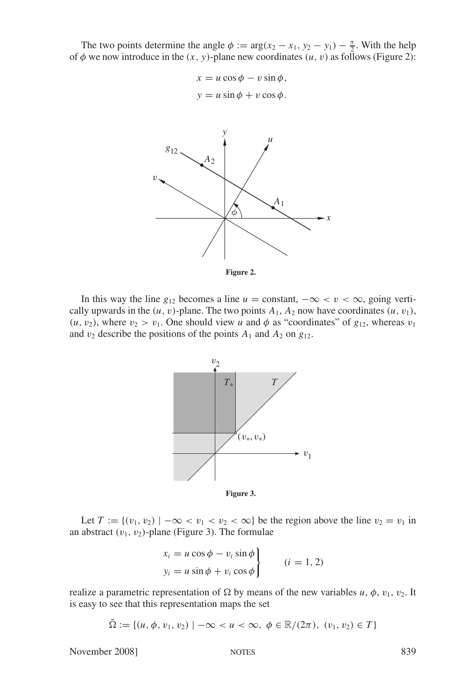The two points determine the angle  $\phi := \arg(x_2 - x_1, y_2 - y_1) - \frac{\pi}{2}$ . With the help of  $\phi$  we now introduce in the  $(x, y)$ -plane new coordinates  $(u, v)$  as follows (Figure 2):

> $x = u \cos \phi - v \sin \phi$ ,  $y = u \sin \phi + v \cos \phi$ .



**Figure 2.**

In this way the line  $g_{12}$  becomes a line  $u = constant, -\infty < v < \infty$ , going vertically upwards in the  $(u, v)$ -plane. The two points  $A_1$ ,  $A_2$  now have coordinates  $(u, v_1)$ ,  $(u, v_2)$ , where  $v_2 > v_1$ . One should view *u* and  $\phi$  as "coordinates" of  $g_{12}$ , whereas  $v_1$ and  $v_2$  describe the positions of the points  $A_1$  and  $A_2$  on  $g_{12}$ .



**Figure 3.**

Let  $T := \{(v_1, v_2) \mid -\infty < v_1 < v_2 < \infty\}$  be the region above the line  $v_2 = v_1$  in an abstract  $(v_1, v_2)$ -plane (Figure 3). The formulae

$$
\begin{aligned}\nx_i &= u \cos \phi - v_i \sin \phi \\
y_i &= u \sin \phi + v_i \cos \phi\n\end{aligned}\n\qquad (i = 1, 2)
$$

realize a parametric representation of  $\Omega$  by means of the new variables *u*,  $\phi$ ,  $v_1$ ,  $v_2$ . It is easy to see that this representation maps the set

$$
\tilde{\Omega} := \{ (u, \phi, v_1, v_2) \mid -\infty < u < \infty, \ \phi \in \mathbb{R}/(2\pi), \ (v_1, v_2) \in T \}
$$

November 2008] NOTES 839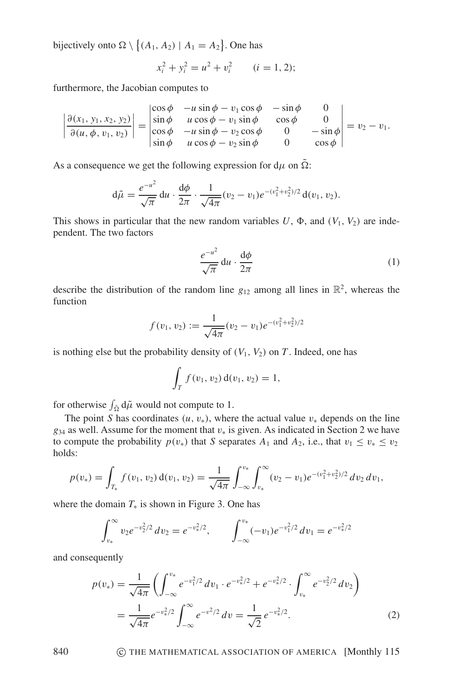bijectively onto  $\Omega \setminus \{(A_1, A_2) | A_1 = A_2\}$ . One has

$$
x_i^2 + y_i^2 = u^2 + v_i^2 \qquad (i = 1, 2);
$$

furthermore, the Jacobian computes to

$$
\left|\frac{\partial(x_1, y_1, x_2, y_2)}{\partial(u, \phi, v_1, v_2)}\right| = \begin{vmatrix} \cos \phi & -u \sin \phi - v_1 \cos \phi & -\sin \phi & 0\\ \sin \phi & u \cos \phi - v_1 \sin \phi & \cos \phi & 0\\ \cos \phi & -u \sin \phi - v_2 \cos \phi & 0 & -\sin \phi\\ \sin \phi & u \cos \phi - v_2 \sin \phi & 0 & \cos \phi \end{vmatrix} = v_2 - v_1.
$$

As a consequence we get the following expression for  $d\mu$  on  $\Omega$ :

$$
d\tilde{\mu} = \frac{e^{-u^2}}{\sqrt{\pi}} du \cdot \frac{d\phi}{2\pi} \cdot \frac{1}{\sqrt{4\pi}} (v_2 - v_1) e^{-(v_1^2 + v_2^2)/2} d(v_1, v_2).
$$

This shows in particular that the new random variables  $U$ ,  $\Phi$ , and  $(V_1, V_2)$  are independent. The two factors

$$
\frac{e^{-u^2}}{\sqrt{\pi}} \, \mathrm{d}u \cdot \frac{\mathrm{d}\phi}{2\pi} \tag{1}
$$

describe the distribution of the random line  $g_{12}$  among all lines in  $\mathbb{R}^2$ , whereas the function

$$
f(v_1, v_2) := \frac{1}{\sqrt{4\pi}} (v_2 - v_1) e^{-(v_1^2 + v_2^2)/2}
$$

is nothing else but the probability density of  $(V_1, V_2)$  on *T*. Indeed, one has

$$
\int_T f(v_1, v_2) d(v_1, v_2) = 1,
$$

for otherwise  $\int_{\tilde{\Omega}} d\tilde{\mu}$  would not compute to 1.

The point *S* has coordinates  $(u, v_*)$ , where the actual value  $v_*$  depends on the line  $g_{34}$  as well. Assume for the moment that  $v_*$  is given. As indicated in Section 2 we have to compute the probability  $p(v_*)$  that *S* separates  $A_1$  and  $A_2$ , i.e., that  $v_1 \le v_* \le v_2$ holds:

$$
p(v_*) = \int_{T_*} f(v_1, v_2) d(v_1, v_2) = \frac{1}{\sqrt{4\pi}} \int_{-\infty}^{v_*} \int_{v_*}^{\infty} (v_2 - v_1) e^{-(v_1^2 + v_2^2)/2} dv_2 dv_1,
$$

where the domain  $T_*$  is shown in Figure 3. One has

$$
\int_{v_*}^{\infty} v_2 e^{-v_2^2/2} dv_2 = e^{-v_*^2/2}, \qquad \int_{-\infty}^{v_*} (-v_1) e^{-v_1^2/2} dv_1 = e^{-v_*^2/2}
$$

and consequently

$$
p(v_*) = \frac{1}{\sqrt{4\pi}} \left( \int_{-\infty}^{v_*} e^{-v_1^2/2} dv_1 \cdot e^{-v_*^2/2} + e^{-v_*^2/2} \cdot \int_{v_*}^{\infty} e^{-v_2^2/2} dv_2 \right)
$$
  
= 
$$
\frac{1}{\sqrt{4\pi}} e^{-v_*^2/2} \int_{-\infty}^{\infty} e^{-v^2/2} dv = \frac{1}{\sqrt{2}} e^{-v_*^2/2}.
$$
 (2)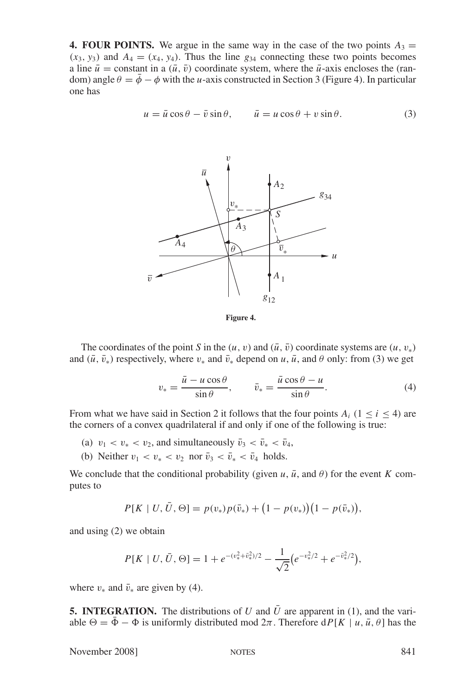**4. FOUR POINTS.** We argue in the same way in the case of the two points  $A_3 =$  $(x_3, y_3)$  and  $A_4 = (x_4, y_4)$ . Thus the line  $g_{34}$  connecting these two points becomes a line  $\bar{u}$  = constant in a  $(\bar{u}, \bar{v})$  coordinate system, where the  $\bar{u}$ -axis encloses the (random) angle  $\theta = \phi - \phi$  with the *u*-axis constructed in Section 3 (Figure 4). In particular one has

$$
u = \bar{u}\cos\theta - \bar{v}\sin\theta, \qquad \bar{u} = u\cos\theta + v\sin\theta. \tag{3}
$$



**Figure 4.**

The coordinates of the point *S* in the  $(u, v)$  and  $(\bar{u}, \bar{v})$  coordinate systems are  $(u, v_*)$ and  $(\bar{u}, \bar{v}_*)$  respectively, where  $v_*$  and  $\bar{v}_*$  depend on *u*,  $\bar{u}$ , and  $\theta$  only: from (3) we get

$$
v_* = \frac{\bar{u} - u\cos\theta}{\sin\theta}, \qquad \bar{v}_* = \frac{\bar{u}\cos\theta - u}{\sin\theta}.
$$
 (4)

From what we have said in Section 2 it follows that the four points  $A_i$  ( $1 \le i \le 4$ ) are the corners of a convex quadrilateral if and only if one of the following is true:

- (a)  $v_1 < v_* < v_2$ , and simultaneously  $\bar{v}_3 < \bar{v}_* < \bar{v}_4$ ,
- (b) Neither  $v_1 < v_* < v_2$  nor  $\bar{v}_3 < \bar{v}_* < \bar{v}_4$  holds.

We conclude that the conditional probability (given  $u$ ,  $\bar{u}$ , and  $\theta$ ) for the event *K* computes to

$$
P[K | U, \overline{U}, \Theta] = p(v_*)p(\overline{v}_*) + (1 - p(v_*))(1 - p(\overline{v}_*)),
$$

and using (2) we obtain

$$
P[K \mid U, \bar{U}, \Theta] = 1 + e^{-(v_{*}^{2} + \bar{v}_{*}^{2})/2} - \frac{1}{\sqrt{2}} \left( e^{-v_{*}^{2}/2} + e^{-\bar{v}_{*}^{2}/2} \right),
$$

where  $v_*$  and  $\bar{v}_*$  are given by (4).

**5. INTEGRATION.** The distributions of *U* and  $\overline{U}$  are apparent in (1), and the variable  $\Theta = \bar{\Phi} - \Phi$  is uniformly distributed mod  $2\pi$ . Therefore  $dP[K | u, \bar{u}, \theta]$  has the

November 2008] NOTES 841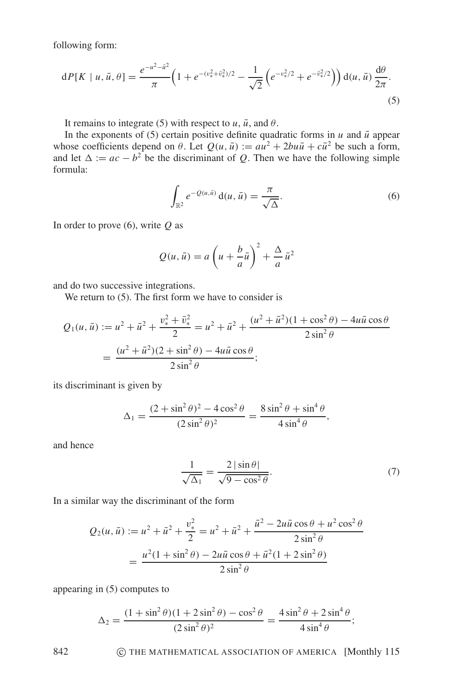following form:

$$
dP[K \mid u, \bar{u}, \theta] = \frac{e^{-u^2 - \bar{u}^2}}{\pi} \left( 1 + e^{-(v_{*}^2 + \bar{v}_{*}^2)/2} - \frac{1}{\sqrt{2}} \left( e^{-v_{*}^2/2} + e^{-\bar{v}_{*}^2/2} \right) \right) d(u, \bar{u}) \frac{d\theta}{2\pi}.
$$
\n(5)

It remains to integrate (5) with respect to  $u$ ,  $\bar{u}$ , and  $\theta$ .

In the exponents of (5) certain positive definite quadratic forms in  $u$  and  $\bar{u}$  appear whose coefficients depend on  $\theta$ . Let  $Q(u, \bar{u}) := au^2 + 2bu\bar{u} + c\bar{u}^2$  be such a form, and let  $\Delta := ac - b^2$  be the discriminant of *Q*. Then we have the following simple formula:

$$
\int_{\mathbb{R}^2} e^{-Q(u,\bar{u})} \mathbf{d}(u,\bar{u}) = \frac{\pi}{\sqrt{\Delta}}.
$$
\n(6)

In order to prove (6), write *Q* as

$$
Q(u, \bar{u}) = a\left(u + \frac{b}{a}\bar{u}\right)^2 + \frac{\Delta}{a}\bar{u}^2
$$

and do two successive integrations.

We return to (5). The first form we have to consider is

$$
Q_1(u, \bar{u}) := u^2 + \bar{u}^2 + \frac{v_*^2 + \bar{v}_*^2}{2} = u^2 + \bar{u}^2 + \frac{(u^2 + \bar{u}^2)(1 + \cos^2 \theta) - 4u\bar{u}\cos\theta}{2\sin^2\theta}
$$

$$
= \frac{(u^2 + \bar{u}^2)(2 + \sin^2\theta) - 4u\bar{u}\cos\theta}{2\sin^2\theta};
$$

its discriminant is given by

$$
\Delta_1 = \frac{(2 + \sin^2 \theta)^2 - 4\cos^2 \theta}{(2\sin^2 \theta)^2} = \frac{8\sin^2 \theta + \sin^4 \theta}{4\sin^4 \theta},
$$

and hence

$$
\frac{1}{\sqrt{\Delta_1}} = \frac{2|\sin\theta|}{\sqrt{9-\cos^2\theta}}.\tag{7}
$$

In a similar way the discriminant of the form

$$
Q_2(u, \bar{u}) := u^2 + \bar{u}^2 + \frac{v_*^2}{2} = u^2 + \bar{u}^2 + \frac{\bar{u}^2 - 2u\bar{u}\cos\theta + u^2\cos^2\theta}{2\sin^2\theta}
$$

$$
= \frac{u^2(1 + \sin^2\theta) - 2u\bar{u}\cos\theta + \bar{u}^2(1 + 2\sin^2\theta)}{2\sin^2\theta}
$$

appearing in (5) computes to

$$
\Delta_2 = \frac{(1 + \sin^2 \theta)(1 + 2\sin^2 \theta) - \cos^2 \theta}{(2\sin^2 \theta)^2} = \frac{4\sin^2 \theta + 2\sin^4 \theta}{4\sin^4 \theta};
$$

842 **C THE MATHEMATICAL ASSOCIATION OF AMERICA** [Monthly 115